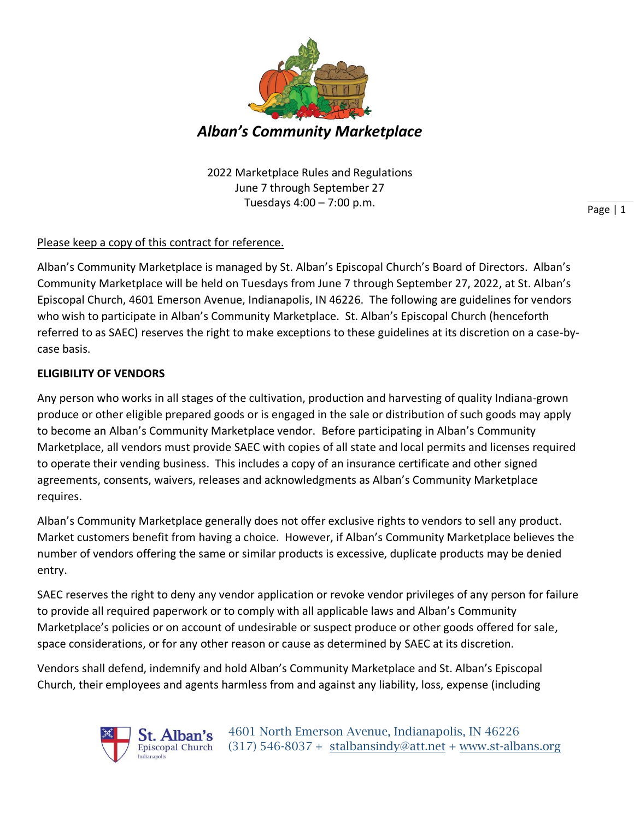

2022 Marketplace Rules and Regulations June 7 through September 27 Tuesdays 4:00 – 7:00 p.m.

## Please keep a copy of this contract for reference.

Alban's Community Marketplace is managed by St. Alban's Episcopal Church's Board of Directors. Alban's Community Marketplace will be held on Tuesdays from June 7 through September 27, 2022, at St. Alban's Episcopal Church, 4601 Emerson Avenue, Indianapolis, IN 46226. The following are guidelines for vendors who wish to participate in Alban's Community Marketplace. St. Alban's Episcopal Church (henceforth referred to as SAEC) reserves the right to make exceptions to these guidelines at its discretion on a case-bycase basis.

### **ELIGIBILITY OF VENDORS**

Any person who works in all stages of the cultivation, production and harvesting of quality Indiana-grown produce or other eligible prepared goods or is engaged in the sale or distribution of such goods may apply to become an Alban's Community Marketplace vendor. Before participating in Alban's Community Marketplace, all vendors must provide SAEC with copies of all state and local permits and licenses required to operate their vending business. This includes a copy of an insurance certificate and other signed agreements, consents, waivers, releases and acknowledgments as Alban's Community Marketplace requires.

Alban's Community Marketplace generally does not offer exclusive rights to vendors to sell any product. Market customers benefit from having a choice. However, if Alban's Community Marketplace believes the number of vendors offering the same or similar products is excessive, duplicate products may be denied entry.

SAEC reserves the right to deny any vendor application or revoke vendor privileges of any person for failure to provide all required paperwork or to comply with all applicable laws and Alban's Community Marketplace's policies or on account of undesirable or suspect produce or other goods offered for sale, space considerations, or for any other reason or cause as determined by SAEC at its discretion.

Vendors shall defend, indemnify and hold Alban's Community Marketplace and St. Alban's Episcopal Church, their employees and agents harmless from and against any liability, loss, expense (including



Page | 1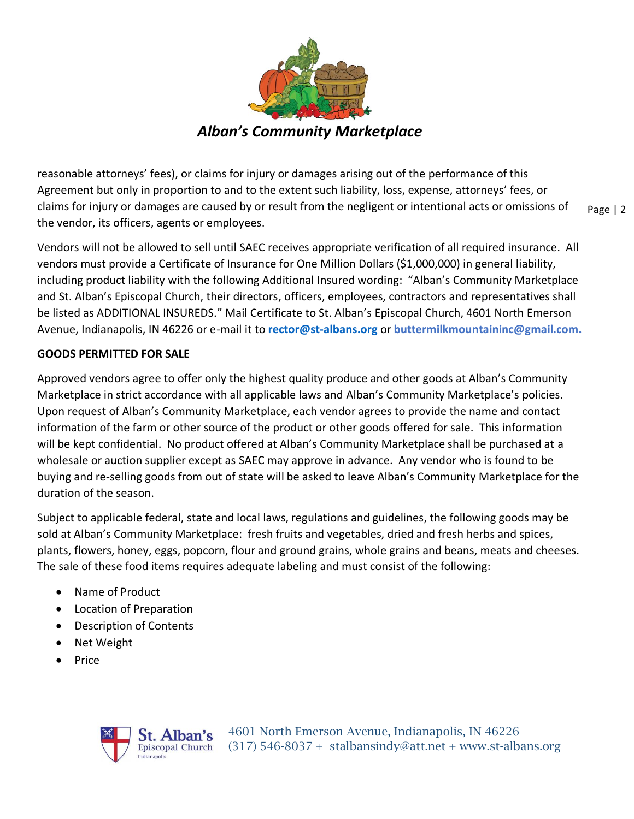

reasonable attorneys' fees), or claims for injury or damages arising out of the performance of this Agreement but only in proportion to and to the extent such liability, loss, expense, attorneys' fees, or claims for injury or damages are caused by or result from the negligent or intentional acts or omissions of the vendor, its officers, agents or employees.

Page | 2

Vendors will not be allowed to sell until SAEC receives appropriate verification of all required insurance. All vendors must provide a Certificate of Insurance for One Million Dollars (\$1,000,000) in general liability, including product liability with the following Additional Insured wording: "Alban's Community Marketplace and St. Alban's Episcopal Church, their directors, officers, employees, contractors and representatives shall be listed as ADDITIONAL INSUREDS." Mail Certificate to St. Alban's Episcopal Church, 4601 North Emerson Avenue, Indianapolis, IN 46226 or e-mail it to **[rector@st-albans.org](mailto:rector@st-albans.org)** or **buttermilkmountaininc@gmail.com.**

### **GOODS PERMITTED FOR SALE**

Approved vendors agree to offer only the highest quality produce and other goods at Alban's Community Marketplace in strict accordance with all applicable laws and Alban's Community Marketplace's policies. Upon request of Alban's Community Marketplace, each vendor agrees to provide the name and contact information of the farm or other source of the product or other goods offered for sale. This information will be kept confidential. No product offered at Alban's Community Marketplace shall be purchased at a wholesale or auction supplier except as SAEC may approve in advance. Any vendor who is found to be buying and re-selling goods from out of state will be asked to leave Alban's Community Marketplace for the duration of the season.

Subject to applicable federal, state and local laws, regulations and guidelines, the following goods may be sold at Alban's Community Marketplace: fresh fruits and vegetables, dried and fresh herbs and spices, plants, flowers, honey, eggs, popcorn, flour and ground grains, whole grains and beans, meats and cheeses. The sale of these food items requires adequate labeling and must consist of the following:

- Name of Product
- Location of Preparation
- Description of Contents
- Net Weight
- Price



4601 North Emerson Avenue, Indianapolis, IN 46226 Episcopal Church  $(317)$  546-8037 + [stalbansindy@att.net](mailto:stalbansindy@att.net) + [www.st-albans.org](http://www.st-albans.org/)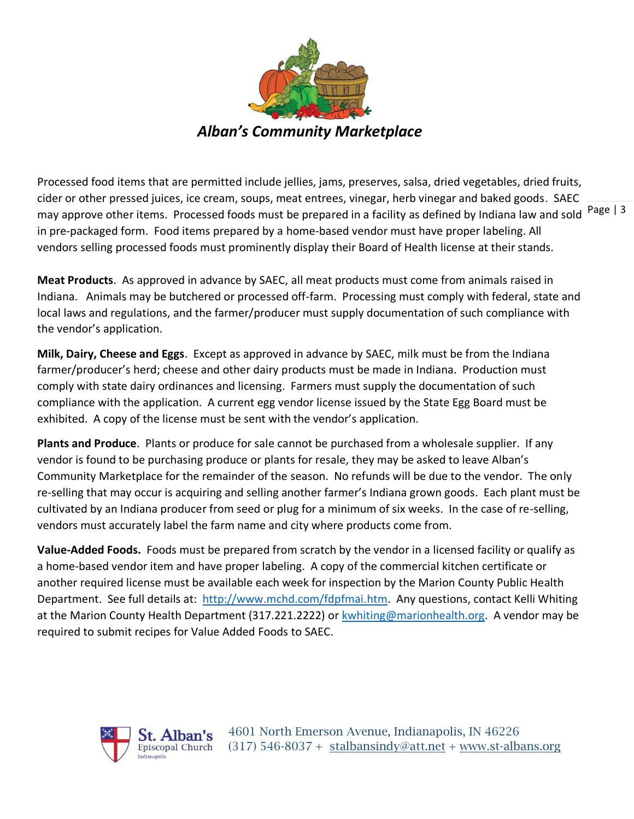

may approve other items. Processed foods must be prepared in a facility as defined by Indiana law and sold <sup>Page</sup> | <sup>3</sup> Processed food items that are permitted include jellies, jams, preserves, salsa, dried vegetables, dried fruits, cider or other pressed juices, ice cream, soups, meat entrees, vinegar, herb vinegar and baked goods. SAEC in pre-packaged form. Food items prepared by a home-based vendor must have proper labeling. All vendors selling processed foods must prominently display their Board of Health license at their stands.

**Meat Products**. As approved in advance by SAEC, all meat products must come from animals raised in Indiana. Animals may be butchered or processed off-farm. Processing must comply with federal, state and local laws and regulations, and the farmer/producer must supply documentation of such compliance with the vendor's application.

**Milk, Dairy, Cheese and Eggs**. Except as approved in advance by SAEC, milk must be from the Indiana farmer/producer's herd; cheese and other dairy products must be made in Indiana. Production must comply with state dairy ordinances and licensing. Farmers must supply the documentation of such compliance with the application. A current egg vendor license issued by the State Egg Board must be exhibited. A copy of the license must be sent with the vendor's application.

**Plants and Produce**. Plants or produce for sale cannot be purchased from a wholesale supplier. If any vendor is found to be purchasing produce or plants for resale, they may be asked to leave Alban's Community Marketplace for the remainder of the season. No refunds will be due to the vendor. The only re-selling that may occur is acquiring and selling another farmer's Indiana grown goods. Each plant must be cultivated by an Indiana producer from seed or plug for a minimum of six weeks. In the case of re-selling, vendors must accurately label the farm name and city where products come from.

**Value-Added Foods.** Foods must be prepared from scratch by the vendor in a licensed facility or qualify as a home-based vendor item and have proper labeling. A copy of the commercial kitchen certificate or another required license must be available each week for inspection by the Marion County Public Health Department. See full details at: [http://www.mchd.com/fdpfmai.htm.](http://www.mchd.com/fdpfmai.htm) Any questions, contact Kelli Whiting at the Marion County Health Department (317.221.2222) or [kwhiting@marionhealth.org.](mailto:kwhiting@marionhealth.org) A vendor may be required to submit recipes for Value Added Foods to SAEC.



4601 North Emerson Avenue, Indianapolis, IN 46226 Episcopal Church  $(317)$  546-8037 + [stalbansindy@att.net](mailto:stalbansindy@att.net) + [www.st-albans.org](http://www.st-albans.org/)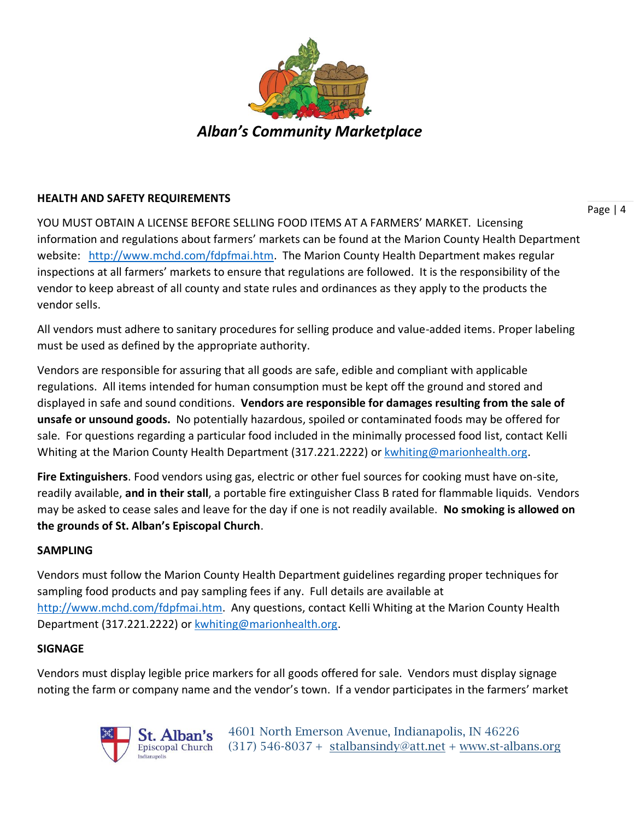

### **HEALTH AND SAFETY REQUIREMENTS**

YOU MUST OBTAIN A LICENSE BEFORE SELLING FOOD ITEMS AT A FARMERS' MARKET. Licensing information and regulations about farmers' markets can be found at the Marion County Health Department website: [http://www.mchd.com/fdpfmai.htm.](http://www.mchd.com/fdpfmai.htm) The Marion County Health Department makes regular inspections at all farmers' markets to ensure that regulations are followed. It is the responsibility of the vendor to keep abreast of all county and state rules and ordinances as they apply to the products the vendor sells.

All vendors must adhere to sanitary procedures for selling produce and value-added items. Proper labeling must be used as defined by the appropriate authority.

Vendors are responsible for assuring that all goods are safe, edible and compliant with applicable regulations. All items intended for human consumption must be kept off the ground and stored and displayed in safe and sound conditions. **Vendors are responsible for damages resulting from the sale of unsafe or unsound goods.** No potentially hazardous, spoiled or contaminated foods may be offered for sale. For questions regarding a particular food included in the minimally processed food list, contact Kelli Whiting at the Marion County Health Department (317.221.2222) or [kwhiting@marionhealth.org.](mailto:kwhiting@marionhealth.org)

**Fire Extinguishers**. Food vendors using gas, electric or other fuel sources for cooking must have on-site, readily available, **and in their stall**, a portable fire extinguisher Class B rated for flammable liquids. Vendors may be asked to cease sales and leave for the day if one is not readily available. **No smoking is allowed on the grounds of St. Alban's Episcopal Church**.

### **SAMPLING**

Vendors must follow the Marion County Health Department guidelines regarding proper techniques for sampling food products and pay sampling fees if any. Full details are available at [http://www.mchd.com/fdpfmai.htm.](http://www.mchd.com/fdpfmai.htm) Any questions, contact Kelli Whiting at the Marion County Health Department (317.221.2222) or [kwhiting@marionhealth.org.](mailto:kwhiting@marionhealth.org)

### **SIGNAGE**

Vendors must display legible price markers for all goods offered for sale. Vendors must display signage noting the farm or company name and the vendor's town. If a vendor participates in the farmers' market



4601 North Emerson Avenue, Indianapolis, IN 46226 Episcopal Church  $(317)$  546-8037 + [stalbansindy@att.net](mailto:stalbansindy@att.net) + [www.st-albans.org](http://www.st-albans.org/)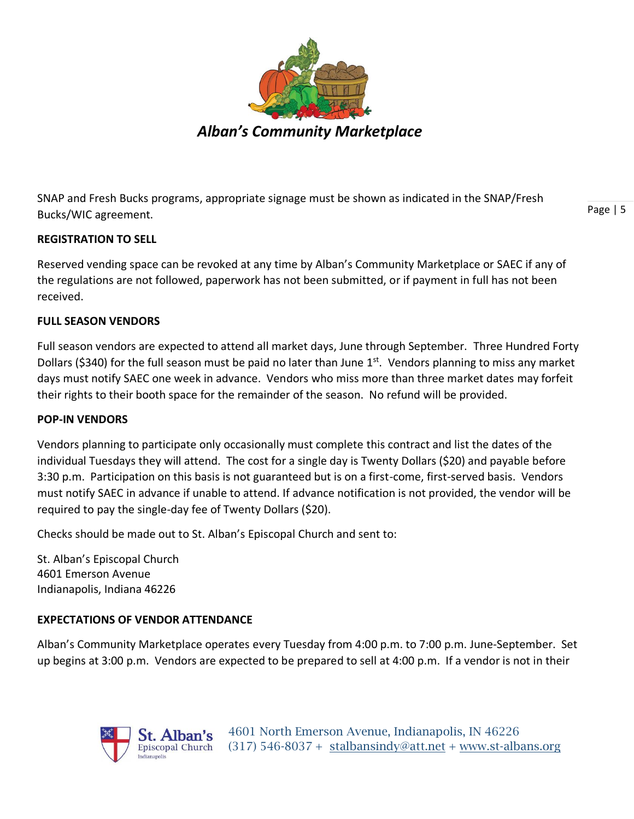

SNAP and Fresh Bucks programs, appropriate signage must be shown as indicated in the SNAP/Fresh Bucks/WIC agreement.

**REGISTRATION TO SELL**

Reserved vending space can be revoked at any time by Alban's Community Marketplace or SAEC if any of the regulations are not followed, paperwork has not been submitted, or if payment in full has not been

received.

# **FULL SEASON VENDORS**

Full season vendors are expected to attend all market days, June through September. Three Hundred Forty Dollars (\$340) for the full season must be paid no later than June  $1<sup>st</sup>$ . Vendors planning to miss any market days must notify SAEC one week in advance. Vendors who miss more than three market dates may forfeit their rights to their booth space for the remainder of the season. No refund will be provided.

## **POP-IN VENDORS**

Vendors planning to participate only occasionally must complete this contract and list the dates of the individual Tuesdays they will attend. The cost for a single day is Twenty Dollars (\$20) and payable before 3:30 p.m. Participation on this basis is not guaranteed but is on a first-come, first-served basis. Vendors must notify SAEC in advance if unable to attend. If advance notification is not provided, the vendor will be required to pay the single-day fee of Twenty Dollars (\$20).

Checks should be made out to St. Alban's Episcopal Church and sent to:

St. Alban's Episcopal Church 4601 Emerson Avenue Indianapolis, Indiana 46226

# **EXPECTATIONS OF VENDOR ATTENDANCE**

Alban's Community Marketplace operates every Tuesday from 4:00 p.m. to 7:00 p.m. June-September. Set up begins at 3:00 p.m. Vendors are expected to be prepared to sell at 4:00 p.m. If a vendor is not in their



Page | 5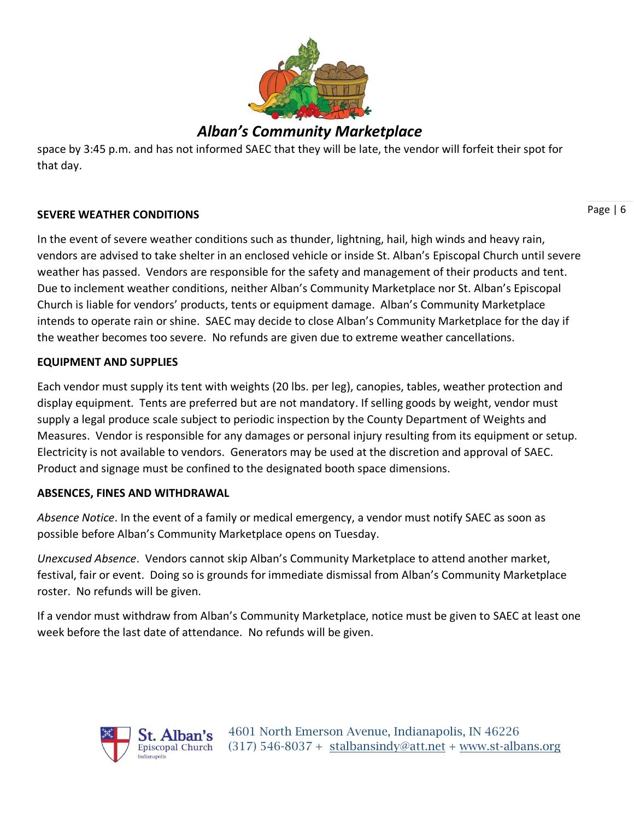

# *Alban's Community Marketplace*

space by 3:45 p.m. and has not informed SAEC that they will be late, the vendor will forfeit their spot for that day.

### **SEVERE WEATHER CONDITIONS**

In the event of severe weather conditions such as thunder, lightning, hail, high winds and heavy rain, vendors are advised to take shelter in an enclosed vehicle or inside St. Alban's Episcopal Church until severe weather has passed. Vendors are responsible for the safety and management of their products and tent. Due to inclement weather conditions, neither Alban's Community Marketplace nor St. Alban's Episcopal Church is liable for vendors' products, tents or equipment damage. Alban's Community Marketplace intends to operate rain or shine. SAEC may decide to close Alban's Community Marketplace for the day if the weather becomes too severe. No refunds are given due to extreme weather cancellations.

### **EQUIPMENT AND SUPPLIES**

Each vendor must supply its tent with weights (20 lbs. per leg), canopies, tables, weather protection and display equipment. Tents are preferred but are not mandatory. If selling goods by weight, vendor must supply a legal produce scale subject to periodic inspection by the County Department of Weights and Measures. Vendor is responsible for any damages or personal injury resulting from its equipment or setup. Electricity is not available to vendors. Generators may be used at the discretion and approval of SAEC. Product and signage must be confined to the designated booth space dimensions.

### **ABSENCES, FINES AND WITHDRAWAL**

*Absence Notice*. In the event of a family or medical emergency, a vendor must notify SAEC as soon as possible before Alban's Community Marketplace opens on Tuesday.

*Unexcused Absence*. Vendors cannot skip Alban's Community Marketplace to attend another market, festival, fair or event. Doing so is grounds for immediate dismissal from Alban's Community Marketplace roster. No refunds will be given.

If a vendor must withdraw from Alban's Community Marketplace, notice must be given to SAEC at least one week before the last date of attendance. No refunds will be given.



Page | 6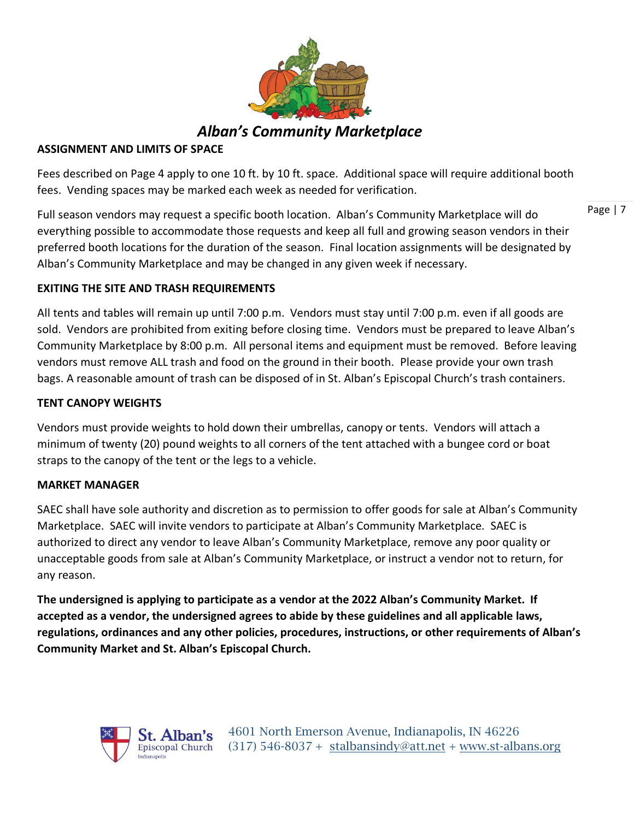

*Alban's Community Marketplace*

### **ASSIGNMENT AND LIMITS OF SPACE**

Fees described on Page 4 apply to one 10 ft. by 10 ft. space. Additional space will require additional booth fees. Vending spaces may be marked each week as needed for verification.

Page | 7

Full season vendors may request a specific booth location. Alban's Community Marketplace will do everything possible to accommodate those requests and keep all full and growing season vendors in their preferred booth locations for the duration of the season. Final location assignments will be designated by Alban's Community Marketplace and may be changed in any given week if necessary.

**EXITING THE SITE AND TRASH REQUIREMENTS**

All tents and tables will remain up until 7:00 p.m. Vendors must stay until 7:00 p.m. even if all goods are sold. Vendors are prohibited from exiting before closing time. Vendors must be prepared to leave Alban's Community Marketplace by 8:00 p.m. All personal items and equipment must be removed. Before leaving vendors must remove ALL trash and food on the ground in their booth. Please provide your own trash bags. A reasonable amount of trash can be disposed of in St. Alban's Episcopal Church's trash containers.

### **TENT CANOPY WEIGHTS**

Vendors must provide weights to hold down their umbrellas, canopy or tents. Vendors will attach a minimum of twenty (20) pound weights to all corners of the tent attached with a bungee cord or boat straps to the canopy of the tent or the legs to a vehicle.

#### **MARKET MANAGER**

SAEC shall have sole authority and discretion as to permission to offer goods for sale at Alban's Community Marketplace. SAEC will invite vendors to participate at Alban's Community Marketplace. SAEC is authorized to direct any vendor to leave Alban's Community Marketplace, remove any poor quality or unacceptable goods from sale at Alban's Community Marketplace, or instruct a vendor not to return, for any reason.

**The undersigned is applying to participate as a vendor at the 2022 Alban's Community Market. If accepted as a vendor, the undersigned agrees to abide by these guidelines and all applicable laws, regulations, ordinances and any other policies, procedures, instructions, or other requirements of Alban's Community Market and St. Alban's Episcopal Church.**

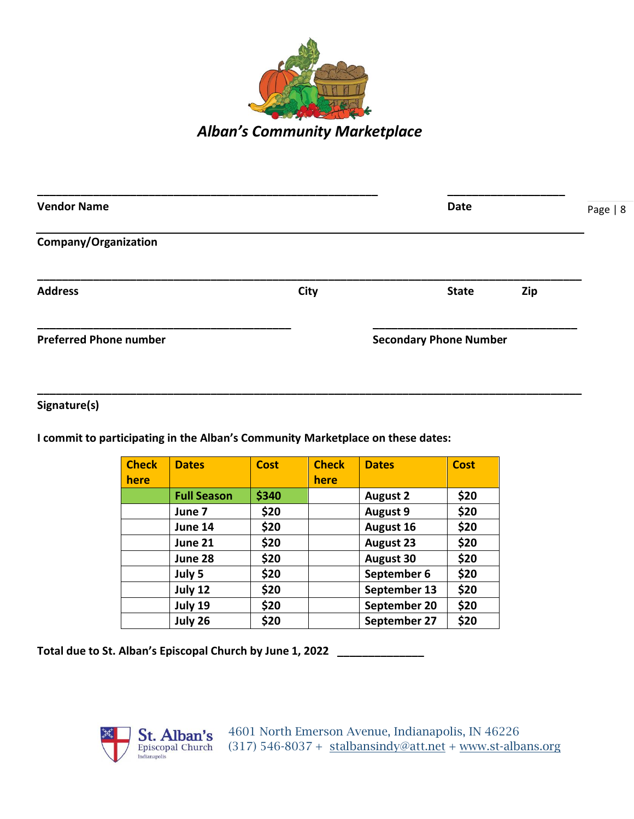

| <b>Vendor Name</b>            | <b>Date</b> |                               | Page   8 |  |
|-------------------------------|-------------|-------------------------------|----------|--|
| Company/Organization          |             |                               |          |  |
| <b>Address</b>                | City        | <b>State</b>                  | Zip      |  |
| <b>Preferred Phone number</b> |             | <b>Secondary Phone Number</b> |          |  |

**Signature(s)**

**I commit to participating in the Alban's Community Marketplace on these dates:**

| <b>Check</b> | <b>Dates</b>       | <b>Cost</b> | <b>Check</b> | <b>Dates</b>     | <b>Cost</b> |
|--------------|--------------------|-------------|--------------|------------------|-------------|
| here         |                    |             | here         |                  |             |
|              | <b>Full Season</b> | \$340       |              | <b>August 2</b>  | \$20        |
|              | June 7             | \$20        |              | <b>August 9</b>  | \$20        |
|              | June 14            | \$20        |              | <b>August 16</b> | \$20        |
|              | June 21            | \$20        |              | <b>August 23</b> | \$20        |
|              | June 28            | \$20        |              | <b>August 30</b> | \$20        |
|              | July 5             | \$20        |              | September 6      | \$20        |
|              | July 12            | \$20        |              | September 13     | \$20        |
|              | July 19            | \$20        |              | September 20     | \$20        |
|              | July 26            | \$20        |              | September 27     | \$20        |

**\_\_\_\_\_\_\_\_\_\_\_\_\_\_\_\_\_\_\_\_\_\_\_\_\_\_\_\_\_\_\_\_\_\_\_\_\_\_\_\_\_\_\_\_\_\_\_\_\_\_\_\_\_\_\_\_\_\_\_\_\_\_\_\_\_\_\_\_\_\_\_\_\_\_\_\_\_\_\_\_\_\_\_\_\_\_\_\_**

**Total due to St. Alban's Episcopal Church by June 1, 2022 \_\_\_\_\_\_\_\_\_\_\_\_\_\_**